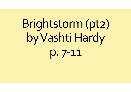# Brightstorm (pt2) by Vashti Hardy  $D.7 - 11$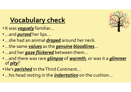## **Vocabulary check**

- It was **vaguely** familiar...
- ...and *pursed* her lips...
- ...she had an animal *draped* around her neck.
- 
- 
- **Vocabulary check**<br>• It was *yaguely* familiar...<br>• …and *pursed* her lips…<br>• …she had an animal <u>draped</u> around her neck.<br>• …and her *gaze flickered* between them…<br>• …and there was rare *glimpse* of *warmth*, or was it a • ...and there was rare *glimpse* of warmth, or was it a *glimmer* of *pity*?
- He's *perished* in the Third Continent...
- ...his head resting in the *indentation* on the cushion...

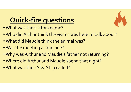# Quick-fire questions

- What was the visitors name?
- Who did Arthur think the visitor was here to talk about?
- What did Maudie think the animal was?
- Was the meeting a long one?
- Why was Arthur and Maudie's father not returning?
- Where did Arthur and Maudie spend that night?
- What was their Sky-Ship called?

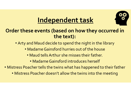

# Independent task

#### Order these events (based on how they occurred in the text):

- Arty and Maud decide to spend the night in the library
	- Madame Gainsford hurries out of the house
		- Maud tells Arthur she misses their father.
			- Madame Gainsford introduces herself
- Mistress Poacher tells the twins what has happened to their father
	- Mistress Poacher doesn't allow the twins into the meeting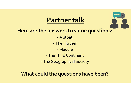## Partner talk



- 
- -
- 
- 

What could the questions have been?